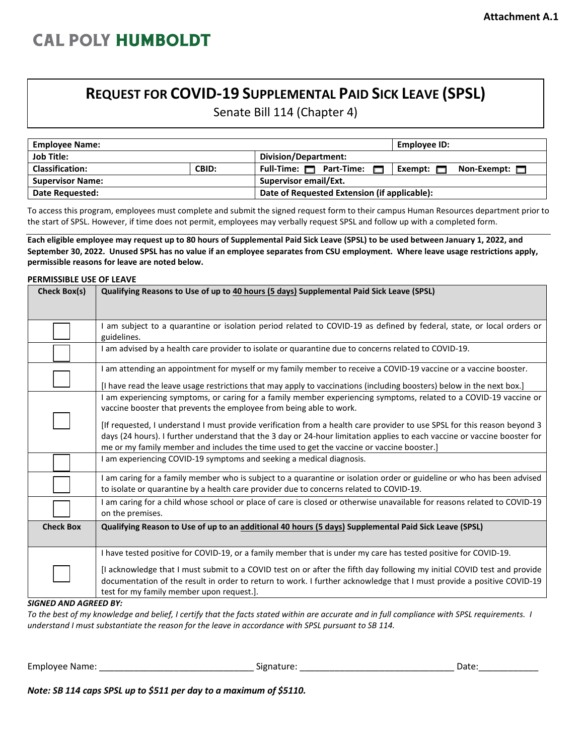## **REQUEST FOR COVID-19 SUPPLEMENTAL PAID SICK LEAVE (SPSL)**

Senate Bill 114 (Chapter 4)

| <b>Employee Name:</b>   |       |                                              | Employee ID:                         |  |
|-------------------------|-------|----------------------------------------------|--------------------------------------|--|
| <b>Job Title:</b>       |       | Division/Department:                         |                                      |  |
| <b>Classification:</b>  | CBID: | Full-Time: $\Box$ Part-Time: $\Box$          | Exempt: $\Box$<br>Non-Exempt: $\Box$ |  |
| <b>Supervisor Name:</b> |       | <b>Supervisor email/Ext.</b>                 |                                      |  |
| Date Requested:         |       | Date of Requested Extension (if applicable): |                                      |  |

To access this program, employees must complete and submit the signed request form to their campus Human Resources department prior to the start of SPSL. However, if time does not permit, employees may verbally request SPSL and follow up with a completed form.

**Each eligible employee may request up to 80 hours of Supplemental Paid Sick Leave (SPSL) to be used between January 1, 2022, and September 30, 2022. Unused SPSL has no value if an employee separates from CSU employment. Where leave usage restrictions apply, permissible reasons for leave are noted below.** 

## **PERMISSIBLE USE OF LEAVE**

| Check Box(s)     | Qualifying Reasons to Use of up to 40 hours (5 days) Supplemental Paid Sick Leave (SPSL)                                                                                                                                                                                                                                                           |
|------------------|----------------------------------------------------------------------------------------------------------------------------------------------------------------------------------------------------------------------------------------------------------------------------------------------------------------------------------------------------|
|                  | I am subject to a quarantine or isolation period related to COVID-19 as defined by federal, state, or local orders or<br>guidelines.                                                                                                                                                                                                               |
|                  | I am advised by a health care provider to isolate or quarantine due to concerns related to COVID-19.                                                                                                                                                                                                                                               |
|                  | I am attending an appointment for myself or my family member to receive a COVID-19 vaccine or a vaccine booster.<br>[I have read the leave usage restrictions that may apply to vaccinations (including boosters) below in the next box.]                                                                                                          |
|                  | I am experiencing symptoms, or caring for a family member experiencing symptoms, related to a COVID-19 vaccine or<br>vaccine booster that prevents the employee from being able to work.                                                                                                                                                           |
|                  | [If requested, I understand I must provide verification from a health care provider to use SPSL for this reason beyond 3<br>days (24 hours). I further understand that the 3 day or 24-hour limitation applies to each vaccine or vaccine booster for<br>me or my family member and includes the time used to get the vaccine or vaccine booster.] |
|                  | I am experiencing COVID-19 symptoms and seeking a medical diagnosis.                                                                                                                                                                                                                                                                               |
|                  | I am caring for a family member who is subject to a quarantine or isolation order or guideline or who has been advised<br>to isolate or quarantine by a health care provider due to concerns related to COVID-19.                                                                                                                                  |
|                  | I am caring for a child whose school or place of care is closed or otherwise unavailable for reasons related to COVID-19<br>on the premises.                                                                                                                                                                                                       |
| <b>Check Box</b> | Qualifying Reason to Use of up to an additional 40 hours (5 days) Supplemental Paid Sick Leave (SPSL)                                                                                                                                                                                                                                              |
|                  | I have tested positive for COVID-19, or a family member that is under my care has tested positive for COVID-19.                                                                                                                                                                                                                                    |
|                  | [I acknowledge that I must submit to a COVID test on or after the fifth day following my initial COVID test and provide<br>documentation of the result in order to return to work. I further acknowledge that I must provide a positive COVID-19<br>test for my family member upon request.].                                                      |

*SIGNED AND AGREED BY:* 

*To the best of my knowledge and belief, I certify that the facts stated within are accurate and in full compliance with SPSL requirements. I understand I must substantiate the reason for the leave in accordance with SPSL pursuant to SB 114.* 

| <b>Employee Name</b> | - 1112<br>. . |  |  |
|----------------------|---------------|--|--|
|                      |               |  |  |

*Note: SB 114 caps SPSL up to \$511 per day to a maximum of \$5110.*